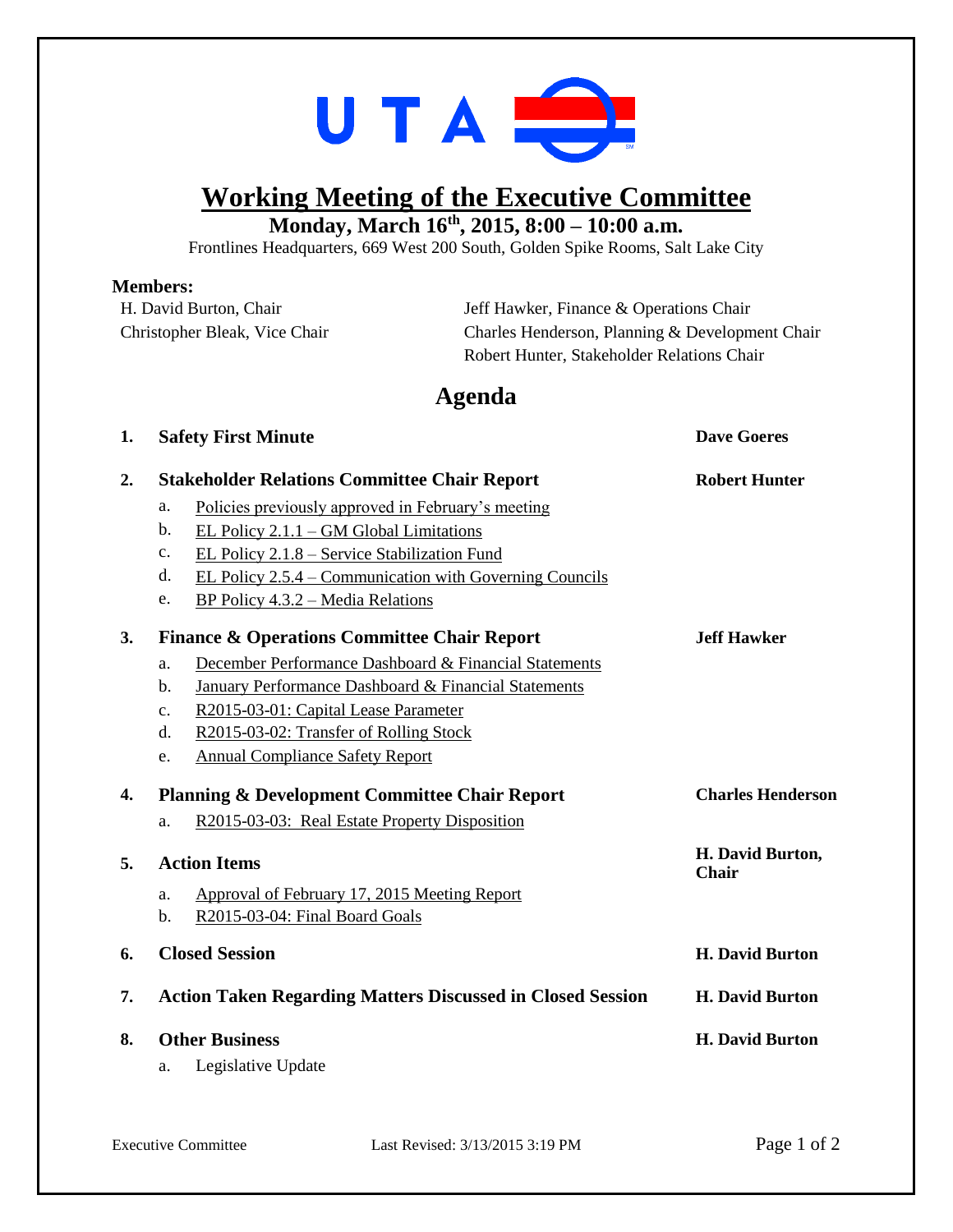

## **Working Meeting of the Executive Committee**

**Monday, March 16 th , 2015, 8:00 – 10:00 a.m.**

Frontlines Headquarters, 669 West 200 South, Golden Spike Rooms, Salt Lake City

## **Members:**

| H. David Burton, Chair        | Jeff Hawker, Finance & Operations Chair         |  |
|-------------------------------|-------------------------------------------------|--|
| Christopher Bleak, Vice Chair | Charles Henderson, Planning & Development Chair |  |
|                               | Robert Hunter, Stakeholder Relations Chair      |  |
|                               |                                                 |  |

## **Agenda**

**1. Safety First Minute Dave Goeres**

| 2. |                                                                   | <b>Stakeholder Relations Committee Chair Report</b>     | <b>Robert Hunter</b>             |
|----|-------------------------------------------------------------------|---------------------------------------------------------|----------------------------------|
|    | a.                                                                | Policies previously approved in February's meeting      |                                  |
|    | $\mathbf{b}$ .                                                    | EL Policy $2.1.1 - GM$ Global Limitations               |                                  |
|    | c.                                                                | EL Policy 2.1.8 – Service Stabilization Fund            |                                  |
|    | d.                                                                | EL Policy 2.5.4 – Communication with Governing Councils |                                  |
|    | e.                                                                | $BP$ Policy 4.3.2 – Media Relations                     |                                  |
| 3. | <b>Finance &amp; Operations Committee Chair Report</b>            |                                                         | <b>Jeff Hawker</b>               |
|    | a.                                                                | December Performance Dashboard & Financial Statements   |                                  |
|    | b.                                                                | January Performance Dashboard & Financial Statements    |                                  |
|    | $C_{\bullet}$                                                     | R2015-03-01: Capital Lease Parameter                    |                                  |
|    | d.                                                                | R2015-03-02: Transfer of Rolling Stock                  |                                  |
|    | e.                                                                | <b>Annual Compliance Safety Report</b>                  |                                  |
| 4. | <b>Planning &amp; Development Committee Chair Report</b>          |                                                         | <b>Charles Henderson</b>         |
|    | a.                                                                | R2015-03-03: Real Estate Property Disposition           |                                  |
| 5. | <b>Action Items</b>                                               |                                                         | H. David Burton,<br><b>Chair</b> |
|    | a.                                                                | Approval of February 17, 2015 Meeting Report            |                                  |
|    | $\mathbf{b}$ .                                                    | R2015-03-04: Final Board Goals                          |                                  |
| 6. | <b>Closed Session</b>                                             |                                                         | <b>H. David Burton</b>           |
| 7. | <b>Action Taken Regarding Matters Discussed in Closed Session</b> |                                                         | <b>H. David Burton</b>           |
| 8. |                                                                   | <b>Other Business</b>                                   | <b>H. David Burton</b>           |
|    | a.                                                                | Legislative Update                                      |                                  |
|    |                                                                   |                                                         |                                  |